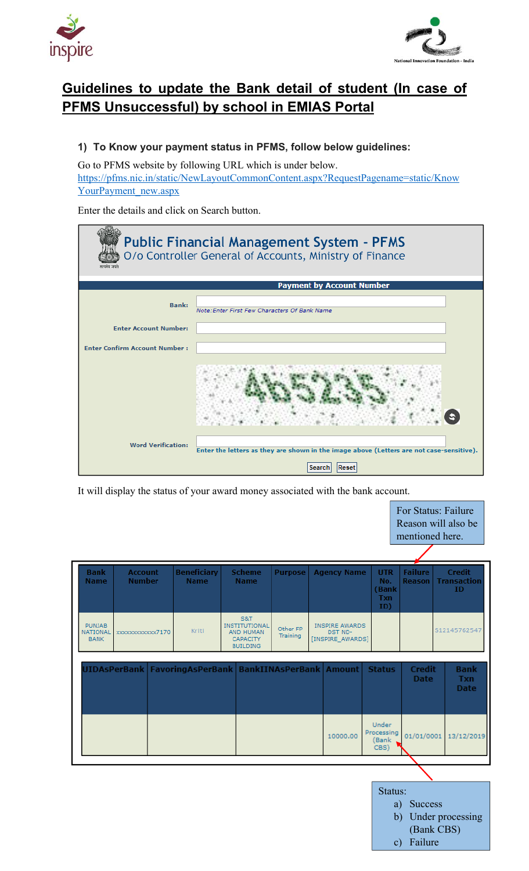



# **Guidelines to update the Bank detail of student (In case of PFMS Unsuccessful) by school in EMIAS Portal**

## **1) To Know your payment status in PFMS, follow below guidelines:**

Go to PFMS website by following URL which is under below. https://pfms.nic.in/static/NewLayoutCommonContent.aspx?RequestPagename=static/Know YourPayment\_new.aspx

Enter the details and click on Search button.

|                                      | <b>Public Financial Management System - PFMS</b><br>O/o Controller General of Accounts, Ministry of Finance |
|--------------------------------------|-------------------------------------------------------------------------------------------------------------|
|                                      | <b>Payment by Account Number</b>                                                                            |
|                                      |                                                                                                             |
| <b>Bank:</b>                         | Note: Enter First Few Characters Of Bank Name                                                               |
| <b>Enter Account Number:</b>         |                                                                                                             |
| <b>Enter Confirm Account Number:</b> |                                                                                                             |
|                                      |                                                                                                             |
| <b>Word Verification:</b>            | Enter the letters as they are shown in the image above (Letters are not case-sensitive).<br>Reset<br>Search |

It will display the status of your award money associated with the bank account.

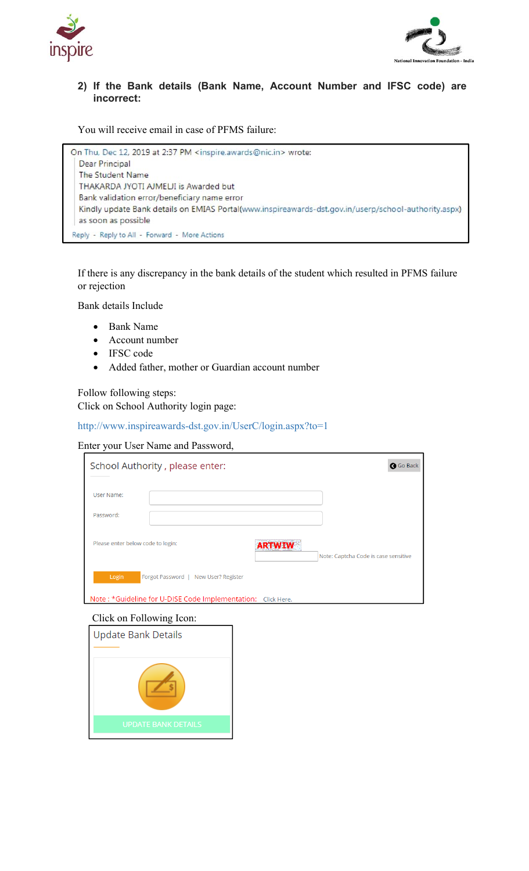



### **2) If the Bank details (Bank Name, Account Number and IFSC code) are incorrect:**

You will receive email in case of PFMS failure:

On Thu, Dec 12, 2019 at 2:37 PM <inspire.awards@nic.in> wrote: Dear Principal The Student Name THAKARDA JYOTI AJMELJI is Awarded but Bank validation error/beneficiary name error Kindly update Bank details on EMIAS Portal(www.inspireawards-dst.gov.in/userp/school-authority.aspx) as soon as possible Reply - Reply to All - Forward - More Actions

If there is any discrepancy in the bank details of the student which resulted in PFMS failure or rejection

Bank details Include

- Bank Name
- Account number
- IFSC code
- Added father, mother or Guardian account number

Follow following steps: Click on School Authority login page:

#### http://www.inspireawards-dst.gov.in/UserC/login.aspx?to=1

#### Enter your User Name and Password,

| School Authority, please enter:                                                                              | <b>G</b> Go Back                                      |
|--------------------------------------------------------------------------------------------------------------|-------------------------------------------------------|
| User Name:                                                                                                   |                                                       |
| Password:                                                                                                    |                                                       |
| Please enter below code to login:                                                                            | <b>ARTWIW</b><br>Note: Captcha Code is case sensitive |
| Login<br>Forgot Password   New User? Register<br>Note: *Guideline for U-DISE Code Implementation: Click Here |                                                       |

#### Click on Following Icon:

| <b>Update Bank Details</b> |  |  |  |
|----------------------------|--|--|--|
|                            |  |  |  |
| <b>UPDATE BANK DETAILS</b> |  |  |  |